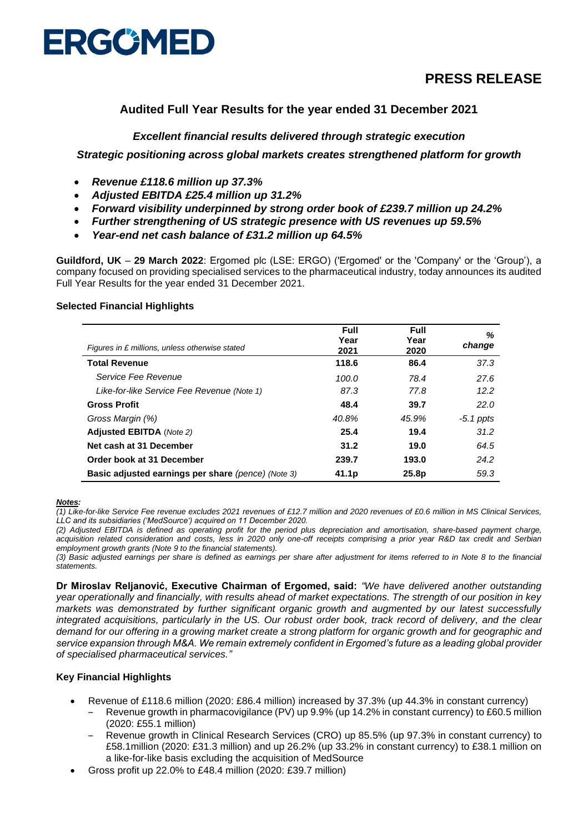

# **PRESS RELEASE**

# **Audited Full Year Results for the year ended 31 December 2021**

# *Excellent financial results delivered through strategic execution*

*Strategic positioning across global markets creates strengthened platform for growth* 

- *Revenue £118.6 million up 37.3%*
- *Adjusted EBITDA £25.4 million up 31.2%*
- *Forward visibility underpinned by strong order book of £239.7 million up 24.2%*
- *Further strengthening of US strategic presence with US revenues up 59.5%*
- *Year-end net cash balance of £31.2 million up 64.5%*

**Guildford, UK** – **29 March 2022**: Ergomed plc (LSE: ERGO) ('Ergomed' or the 'Company' or the 'Group'), a company focused on providing specialised services to the pharmaceutical industry, today announces its audited Full Year Results for the year ended 31 December 2021.

# **Selected Financial Highlights**

| Figures in £ millions, unless otherwise stated            | <b>Full</b><br>Year | Full<br>Year | ℅<br>change |
|-----------------------------------------------------------|---------------------|--------------|-------------|
| <b>Total Revenue</b>                                      | 2021<br>118.6       | 2020<br>86.4 | 37.3        |
| Service Fee Revenue                                       | 100.0               | 78.4         | 27.6        |
| Like-for-like Service Fee Revenue (Note 1)                | 87.3                | 77.8         | 12.2        |
| <b>Gross Profit</b>                                       | 48.4                | 39.7         | 22.0        |
| Gross Margin (%)                                          | 40.8%               | 45.9%        | $-5.1$ ppts |
| <b>Adjusted EBITDA</b> (Note 2)                           | 25.4                | 19.4         | 31.2        |
| Net cash at 31 December                                   | 31.2                | 19.0         | 64.5        |
| Order book at 31 December                                 | 239.7               | 193.0        | 24.2        |
| <b>Basic adjusted earnings per share (pence) (Note 3)</b> | 41.1 <sub>p</sub>   | 25.8p        | 59.3        |

## *Notes:*

*(1) Like-for-like Service Fee revenue excludes 2021 revenues of £12.7 million and 2020 revenues of £0.6 million in MS Clinical Services, LLC and its subsidiaries ('MedSource') acquired on 11 December 2020.*

*(2) Adjusted EBITDA is defined as operating profit for the period plus depreciation and amortisation, share-based payment charge, acquisition related consideration and costs, less in 2020 only one-off receipts comprising a prior year R&D tax credit and Serbian employment growth grants (Note 9 to the financial statements).*

*(3) Basic adjusted earnings per share is defined as earnings per share after adjustment for items referred to in Note 8 to the financial statements.* 

**Dr Miroslav Reljanović, Executive Chairman of Ergomed, said:** *"We have delivered another outstanding year operationally and financially, with results ahead of market expectations. The strength of our position in key markets was demonstrated by further significant organic growth and augmented by our latest successfully integrated acquisitions, particularly in the US. Our robust order book, track record of delivery, and the clear demand for our offering in a growing market create a strong platform for organic growth and for geographic and service expansion through M&A. We remain extremely confident in Ergomed's future as a leading global provider of specialised pharmaceutical services."*

## **Key Financial Highlights**

- Revenue of £118.6 million (2020: £86.4 million) increased by 37.3% (up 44.3% in constant currency)
	- ‒ Revenue growth in pharmacovigilance (PV) up 9.9% (up 14.2% in constant currency) to £60.5 million (2020: £55.1 million)
	- ‒ Revenue growth in Clinical Research Services (CRO) up 85.5% (up 97.3% in constant currency) to £58.1million (2020: £31.3 million) and up 26.2% (up 33.2% in constant currency) to £38.1 million on a like-for-like basis excluding the acquisition of MedSource
- Gross profit up 22.0% to £48.4 million (2020: £39.7 million)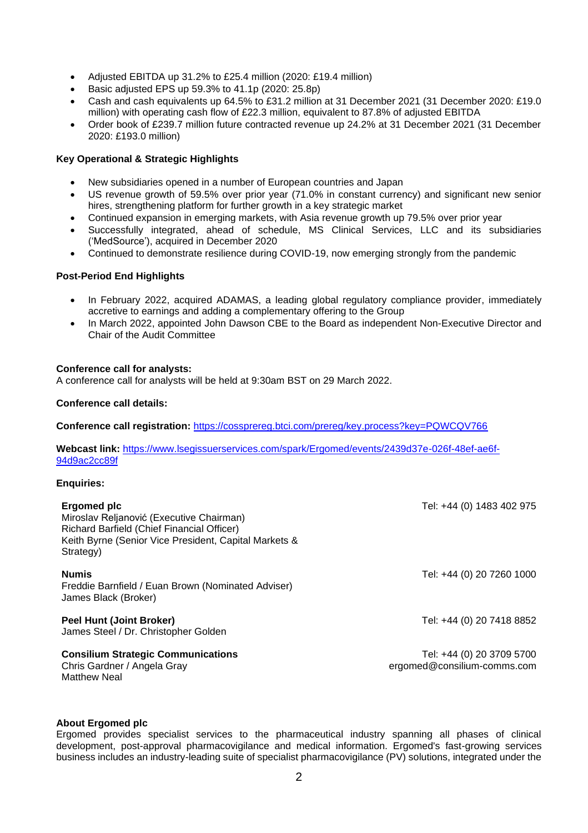- Adjusted EBITDA up 31.2% to £25.4 million (2020: £19.4 million)
- Basic adjusted EPS up 59.3% to 41.1p (2020: 25.8p)
- Cash and cash equivalents up 64.5% to £31.2 million at 31 December 2021 (31 December 2020: £19.0 million) with operating cash flow of £22.3 million, equivalent to 87.8% of adjusted EBITDA
- Order book of £239.7 million future contracted revenue up 24.2% at 31 December 2021 (31 December 2020: £193.0 million)

# **Key Operational & Strategic Highlights**

- New subsidiaries opened in a number of European countries and Japan
- US revenue growth of 59.5% over prior year (71.0% in constant currency) and significant new senior hires, strengthening platform for further growth in a key strategic market
- Continued expansion in emerging markets, with Asia revenue growth up 79.5% over prior year
- Successfully integrated, ahead of schedule, MS Clinical Services, LLC and its subsidiaries ('MedSource'), acquired in December 2020
- Continued to demonstrate resilience during COVID-19, now emerging strongly from the pandemic

# **Post-Period End Highlights**

- In February 2022, acquired ADAMAS, a leading global regulatory compliance provider, immediately accretive to earnings and adding a complementary offering to the Group
- In March 2022, appointed John Dawson CBE to the Board as independent Non-Executive Director and Chair of the Audit Committee

## **Conference call for analysts:**

A conference call for analysts will be held at 9:30am BST on 29 March 2022.

## **Conference call details:**

**Conference call registration:** <https://cossprereg.btci.com/prereg/key.process?key=PQWCQV766>

**Webcast link:** [https://www.lsegissuerservices.com/spark/Ergomed/events/2439d37e-026f-48ef-ae6f-](https://www.lsegissuerservices.com/spark/Ergomed/events/2439d37e-026f-48ef-ae6f-94d9ac2cc89f)[94d9ac2cc89f](https://www.lsegissuerservices.com/spark/Ergomed/events/2439d37e-026f-48ef-ae6f-94d9ac2cc89f)

## **Enquiries:**

| Ergomed plc<br>Miroslav Reljanović (Executive Chairman)<br>Richard Barfield (Chief Financial Officer)<br>Keith Byrne (Senior Vice President, Capital Markets &<br>Strategy) | Tel: +44 (0) 1483 402 975                                |
|-----------------------------------------------------------------------------------------------------------------------------------------------------------------------------|----------------------------------------------------------|
| <b>Numis</b><br>Freddie Barnfield / Euan Brown (Nominated Adviser)<br>James Black (Broker)                                                                                  | Tel: +44 (0) 20 7260 1000                                |
| <b>Peel Hunt (Joint Broker)</b><br>James Steel / Dr. Christopher Golden                                                                                                     | Tel: +44 (0) 20 7418 8852                                |
| <b>Consilium Strategic Communications</b><br>Chris Gardner / Angela Gray<br>Matthew Neal                                                                                    | Tel: +44 (0) 20 3709 5700<br>ergomed@consilium-comms.com |

## **About Ergomed plc**

Ergomed provides specialist services to the pharmaceutical industry spanning all phases of clinical development, post-approval pharmacovigilance and medical information. Ergomed's fast-growing services business includes an industry-leading suite of specialist pharmacovigilance (PV) solutions, integrated under the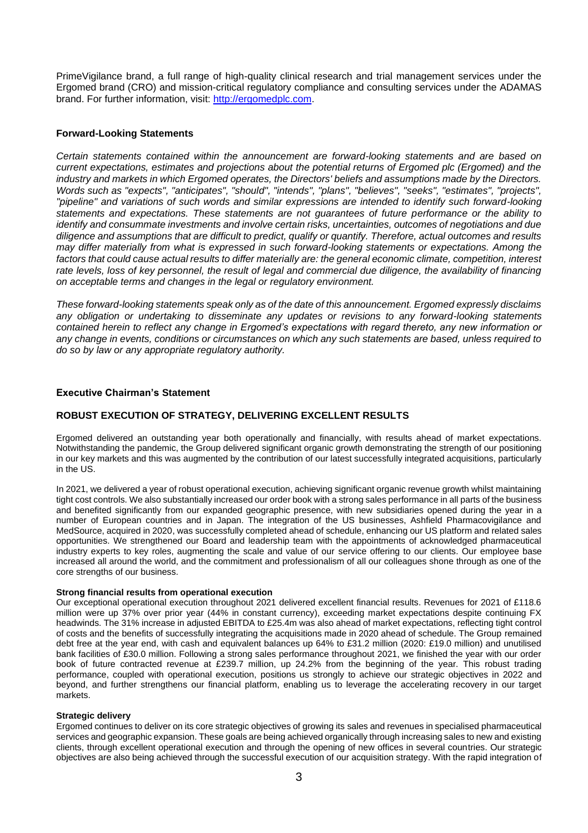PrimeVigilance brand, a full range of high-quality clinical research and trial management services under the Ergomed brand (CRO) and mission-critical regulatory compliance and consulting services under the ADAMAS brand. For further information, visit: [http://ergomedplc.com.](http://ergomedplc.com/)

## **Forward-Looking Statements**

*Certain statements contained within the announcement are forward-looking statements and are based on current expectations, estimates and projections about the potential returns of Ergomed plc (Ergomed) and the industry and markets in which Ergomed operates, the Directors' beliefs and assumptions made by the Directors. Words such as "expects", "anticipates", "should", "intends", "plans", "believes", "seeks", "estimates", "projects", "pipeline" and variations of such words and similar expressions are intended to identify such forward-looking statements and expectations. These statements are not guarantees of future performance or the ability to identify and consummate investments and involve certain risks, uncertainties, outcomes of negotiations and due diligence and assumptions that are difficult to predict, qualify or quantify. Therefore, actual outcomes and results may differ materially from what is expressed in such forward-looking statements or expectations. Among the*  factors that could cause actual results to differ materially are: the general economic climate, competition, interest rate levels, loss of key personnel, the result of legal and commercial due diligence, the availability of financing *on acceptable terms and changes in the legal or regulatory environment.*

*These forward-looking statements speak only as of the date of this announcement. Ergomed expressly disclaims any obligation or undertaking to disseminate any updates or revisions to any forward-looking statements contained herein to reflect any change in Ergomed's expectations with regard thereto, any new information or any change in events, conditions or circumstances on which any such statements are based, unless required to do so by law or any appropriate regulatory authority.* 

## **Executive Chairman's Statement**

## **ROBUST EXECUTION OF STRATEGY, DELIVERING EXCELLENT RESULTS**

Ergomed delivered an outstanding year both operationally and financially, with results ahead of market expectations. Notwithstanding the pandemic, the Group delivered significant organic growth demonstrating the strength of our positioning in our key markets and this was augmented by the contribution of our latest successfully integrated acquisitions, particularly in the US.

In 2021, we delivered a year of robust operational execution, achieving significant organic revenue growth whilst maintaining tight cost controls. We also substantially increased our order book with a strong sales performance in all parts of the business and benefited significantly from our expanded geographic presence, with new subsidiaries opened during the year in a number of European countries and in Japan. The integration of the US businesses, Ashfield Pharmacovigilance and MedSource, acquired in 2020, was successfully completed ahead of schedule, enhancing our US platform and related sales opportunities. We strengthened our Board and leadership team with the appointments of acknowledged pharmaceutical industry experts to key roles, augmenting the scale and value of our service offering to our clients. Our employee base increased all around the world, and the commitment and professionalism of all our colleagues shone through as one of the core strengths of our business.

#### **Strong financial results from operational execution**

Our exceptional operational execution throughout 2021 delivered excellent financial results. Revenues for 2021 of £118.6 million were up 37% over prior year (44% in constant currency), exceeding market expectations despite continuing FX headwinds. The 31% increase in adjusted EBITDA to £25.4m was also ahead of market expectations, reflecting tight control of costs and the benefits of successfully integrating the acquisitions made in 2020 ahead of schedule. The Group remained debt free at the year end, with cash and equivalent balances up 64% to £31.2 million (2020: £19.0 million) and unutilised bank facilities of £30.0 million. Following a strong sales performance throughout 2021, we finished the year with our order book of future contracted revenue at £239.7 million, up 24.2% from the beginning of the year. This robust trading performance, coupled with operational execution, positions us strongly to achieve our strategic objectives in 2022 and beyond, and further strengthens our financial platform, enabling us to leverage the accelerating recovery in our target markets.

#### **Strategic delivery**

Ergomed continues to deliver on its core strategic objectives of growing its sales and revenues in specialised pharmaceutical services and geographic expansion. These goals are being achieved organically through increasing sales to new and existing clients, through excellent operational execution and through the opening of new offices in several countries. Our strategic objectives are also being achieved through the successful execution of our acquisition strategy. With the rapid integration of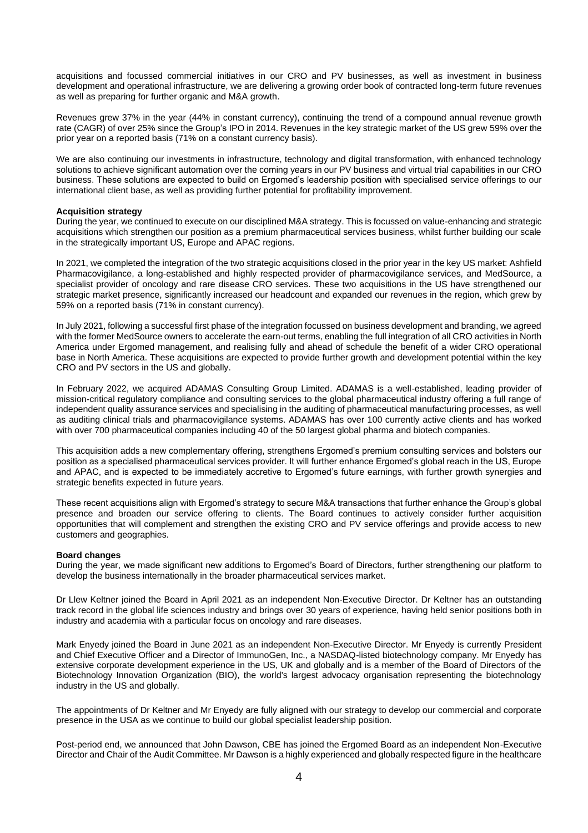acquisitions and focussed commercial initiatives in our CRO and PV businesses, as well as investment in business development and operational infrastructure, we are delivering a growing order book of contracted long-term future revenues as well as preparing for further organic and M&A growth.

Revenues grew 37% in the year (44% in constant currency), continuing the trend of a compound annual revenue growth rate (CAGR) of over 25% since the Group's IPO in 2014. Revenues in the key strategic market of the US grew 59% over the prior year on a reported basis (71% on a constant currency basis).

We are also continuing our investments in infrastructure, technology and digital transformation, with enhanced technology solutions to achieve significant automation over the coming years in our PV business and virtual trial capabilities in our CRO business. These solutions are expected to build on Ergomed's leadership position with specialised service offerings to our international client base, as well as providing further potential for profitability improvement.

#### **Acquisition strategy**

During the year, we continued to execute on our disciplined M&A strategy. This is focussed on value-enhancing and strategic acquisitions which strengthen our position as a premium pharmaceutical services business, whilst further building our scale in the strategically important US, Europe and APAC regions.

In 2021, we completed the integration of the two strategic acquisitions closed in the prior year in the key US market: Ashfield Pharmacovigilance, a long-established and highly respected provider of pharmacovigilance services, and MedSource, a specialist provider of oncology and rare disease CRO services. These two acquisitions in the US have strengthened our strategic market presence, significantly increased our headcount and expanded our revenues in the region, which grew by 59% on a reported basis (71% in constant currency).

In July 2021, following a successful first phase of the integration focussed on business development and branding, we agreed with the former MedSource owners to accelerate the earn-out terms, enabling the full integration of all CRO activities in North America under Ergomed management, and realising fully and ahead of schedule the benefit of a wider CRO operational base in North America. These acquisitions are expected to provide further growth and development potential within the key CRO and PV sectors in the US and globally.

In February 2022, we acquired ADAMAS Consulting Group Limited. ADAMAS is a well-established, leading provider of mission-critical regulatory compliance and consulting services to the global pharmaceutical industry offering a full range of independent quality assurance services and specialising in the auditing of pharmaceutical manufacturing processes, as well as auditing clinical trials and pharmacovigilance systems. ADAMAS has over 100 currently active clients and has worked with over 700 pharmaceutical companies including 40 of the 50 largest global pharma and biotech companies.

This acquisition adds a new complementary offering, strengthens Ergomed's premium consulting services and bolsters our position as a specialised pharmaceutical services provider. It will further enhance Ergomed's global reach in the US, Europe and APAC, and is expected to be immediately accretive to Ergomed's future earnings, with further growth synergies and strategic benefits expected in future years.

These recent acquisitions align with Ergomed's strategy to secure M&A transactions that further enhance the Group's global presence and broaden our service offering to clients. The Board continues to actively consider further acquisition opportunities that will complement and strengthen the existing CRO and PV service offerings and provide access to new customers and geographies.

## **Board changes**

During the year, we made significant new additions to Ergomed's Board of Directors, further strengthening our platform to develop the business internationally in the broader pharmaceutical services market.

Dr Llew Keltner joined the Board in April 2021 as an independent Non-Executive Director. Dr Keltner has an outstanding track record in the global life sciences industry and brings over 30 years of experience, having held senior positions both in industry and academia with a particular focus on oncology and rare diseases.

Mark Enyedy joined the Board in June 2021 as an independent Non-Executive Director. Mr Enyedy is currently President and Chief Executive Officer and a Director of ImmunoGen, Inc., a NASDAQ-listed biotechnology company. Mr Enyedy has extensive corporate development experience in the US, UK and globally and is a member of the Board of Directors of the Biotechnology Innovation Organization (BIO), the world's largest advocacy organisation representing the biotechnology industry in the US and globally.

The appointments of Dr Keltner and Mr Enyedy are fully aligned with our strategy to develop our commercial and corporate presence in the USA as we continue to build our global specialist leadership position.

Post-period end, we announced that John Dawson, CBE has joined the Ergomed Board as an independent Non-Executive Director and Chair of the Audit Committee. Mr Dawson is a highly experienced and globally respected figure in the healthcare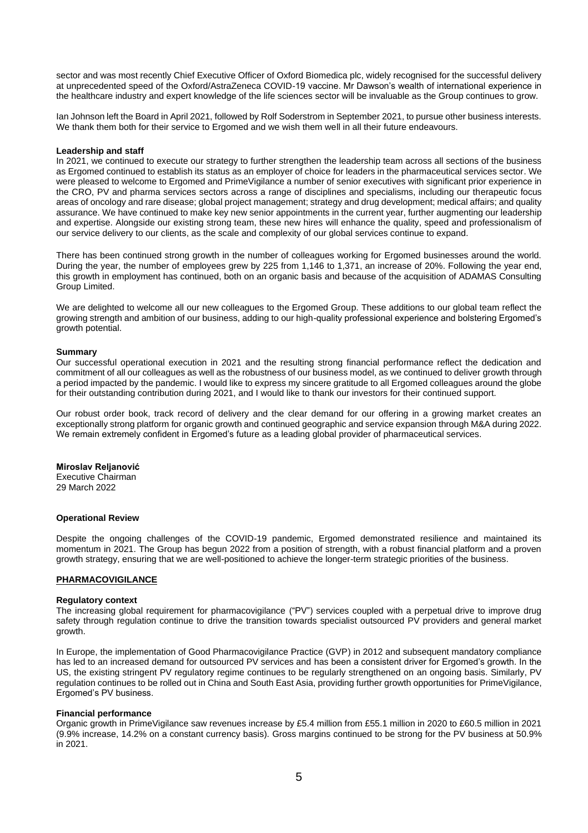sector and was most recently Chief Executive Officer of Oxford Biomedica plc, widely recognised for the successful delivery at unprecedented speed of the Oxford/AstraZeneca COVID-19 vaccine. Mr Dawson's wealth of international experience in the healthcare industry and expert knowledge of the life sciences sector will be invaluable as the Group continues to grow.

Ian Johnson left the Board in April 2021, followed by Rolf Soderstrom in September 2021, to pursue other business interests. We thank them both for their service to Ergomed and we wish them well in all their future endeavours.

#### **Leadership and staff**

In 2021, we continued to execute our strategy to further strengthen the leadership team across all sections of the business as Ergomed continued to establish its status as an employer of choice for leaders in the pharmaceutical services sector. We were pleased to welcome to Ergomed and PrimeVigilance a number of senior executives with significant prior experience in the CRO, PV and pharma services sectors across a range of disciplines and specialisms, including our therapeutic focus areas of oncology and rare disease; global project management; strategy and drug development; medical affairs; and quality assurance. We have continued to make key new senior appointments in the current year, further augmenting our leadership and expertise. Alongside our existing strong team, these new hires will enhance the quality, speed and professionalism of our service delivery to our clients, as the scale and complexity of our global services continue to expand.

There has been continued strong growth in the number of colleagues working for Ergomed businesses around the world. During the year, the number of employees grew by 225 from 1,146 to 1,371, an increase of 20%. Following the year end, this growth in employment has continued, both on an organic basis and because of the acquisition of ADAMAS Consulting Group Limited.

We are delighted to welcome all our new colleagues to the Ergomed Group. These additions to our global team reflect the growing strength and ambition of our business, adding to our high-quality professional experience and bolstering Ergomed's growth potential.

#### **Summary**

Our successful operational execution in 2021 and the resulting strong financial performance reflect the dedication and commitment of all our colleagues as well as the robustness of our business model, as we continued to deliver growth through a period impacted by the pandemic. I would like to express my sincere gratitude to all Ergomed colleagues around the globe for their outstanding contribution during 2021, and I would like to thank our investors for their continued support.

Our robust order book, track record of delivery and the clear demand for our offering in a growing market creates an exceptionally strong platform for organic growth and continued geographic and service expansion through M&A during 2022. We remain extremely confident in Ergomed's future as a leading global provider of pharmaceutical services.

#### **Miroslav Reljanović**

Executive Chairman 29 March 2022

#### **Operational Review**

Despite the ongoing challenges of the COVID-19 pandemic, Ergomed demonstrated resilience and maintained its momentum in 2021. The Group has begun 2022 from a position of strength, with a robust financial platform and a proven growth strategy, ensuring that we are well-positioned to achieve the longer-term strategic priorities of the business.

## **PHARMACOVIGILANCE**

## **Regulatory context**

The increasing global requirement for pharmacovigilance ("PV") services coupled with a perpetual drive to improve drug safety through regulation continue to drive the transition towards specialist outsourced PV providers and general market growth.

In Europe, the implementation of Good Pharmacovigilance Practice (GVP) in 2012 and subsequent mandatory compliance has led to an increased demand for outsourced PV services and has been a consistent driver for Ergomed's growth. In the US, the existing stringent PV regulatory regime continues to be regularly strengthened on an ongoing basis. Similarly, PV regulation continues to be rolled out in China and South East Asia, providing further growth opportunities for PrimeVigilance, Ergomed's PV business.

#### **Financial performance**

Organic growth in PrimeVigilance saw revenues increase by £5.4 million from £55.1 million in 2020 to £60.5 million in 2021 (9.9% increase, 14.2% on a constant currency basis). Gross margins continued to be strong for the PV business at 50.9% in 2021.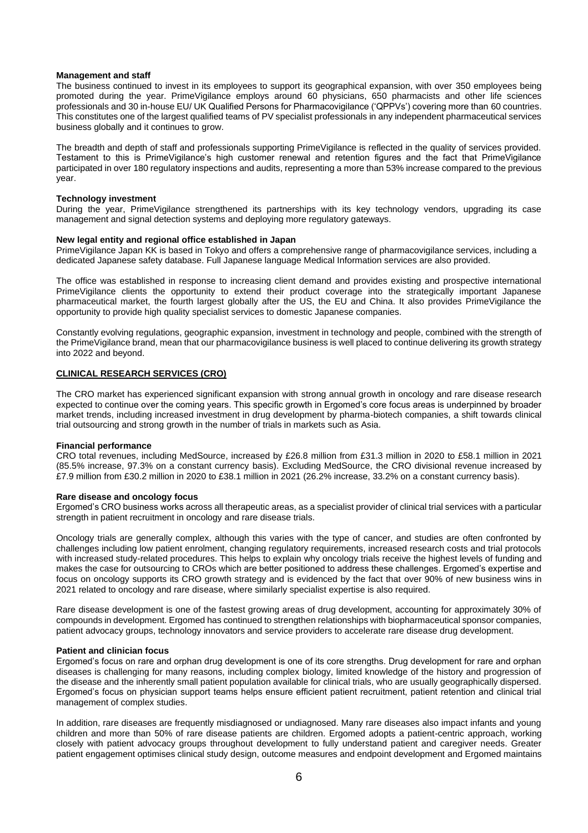#### **Management and staff**

The business continued to invest in its employees to support its geographical expansion, with over 350 employees being promoted during the year. PrimeVigilance employs around 60 physicians, 650 pharmacists and other life sciences professionals and 30 in-house EU/ UK Qualified Persons for Pharmacovigilance ('QPPVs') covering more than 60 countries. This constitutes one of the largest qualified teams of PV specialist professionals in any independent pharmaceutical services business globally and it continues to grow.

The breadth and depth of staff and professionals supporting PrimeVigilance is reflected in the quality of services provided. Testament to this is PrimeVigilance's high customer renewal and retention figures and the fact that PrimeVigilance participated in over 180 regulatory inspections and audits, representing a more than 53% increase compared to the previous year.

#### **Technology investment**

During the year, PrimeVigilance strengthened its partnerships with its key technology vendors, upgrading its case management and signal detection systems and deploying more regulatory gateways.

#### **New legal entity and regional office established in Japan**

PrimeVigilance Japan KK is based in Tokyo and offers a comprehensive range of pharmacovigilance services, including a dedicated Japanese safety database. Full Japanese language Medical Information services are also provided.

The office was established in response to increasing client demand and provides existing and prospective international PrimeVigilance clients the opportunity to extend their product coverage into the strategically important Japanese pharmaceutical market, the fourth largest globally after the US, the EU and China. It also provides PrimeVigilance the opportunity to provide high quality specialist services to domestic Japanese companies.

Constantly evolving regulations, geographic expansion, investment in technology and people, combined with the strength of the PrimeVigilance brand, mean that our pharmacovigilance business is well placed to continue delivering its growth strategy into 2022 and beyond.

## **CLINICAL RESEARCH SERVICES (CRO)**

The CRO market has experienced significant expansion with strong annual growth in oncology and rare disease research expected to continue over the coming years. This specific growth in Ergomed's core focus areas is underpinned by broader market trends, including increased investment in drug development by pharma-biotech companies, a shift towards clinical trial outsourcing and strong growth in the number of trials in markets such as Asia.

#### **Financial performance**

CRO total revenues, including MedSource, increased by £26.8 million from £31.3 million in 2020 to £58.1 million in 2021 (85.5% increase, 97.3% on a constant currency basis). Excluding MedSource, the CRO divisional revenue increased by £7.9 million from £30.2 million in 2020 to £38.1 million in 2021 (26.2% increase, 33.2% on a constant currency basis).

#### **Rare disease and oncology focus**

Ergomed's CRO business works across all therapeutic areas, as a specialist provider of clinical trial services with a particular strength in patient recruitment in oncology and rare disease trials.

Oncology trials are generally complex, although this varies with the type of cancer, and studies are often confronted by challenges including low patient enrolment, changing regulatory requirements, increased research costs and trial protocols with increased study-related procedures. This helps to explain why oncology trials receive the highest levels of funding and makes the case for outsourcing to CROs which are better positioned to address these challenges. Ergomed's expertise and focus on oncology supports its CRO growth strategy and is evidenced by the fact that over 90% of new business wins in 2021 related to oncology and rare disease, where similarly specialist expertise is also required.

Rare disease development is one of the fastest growing areas of drug development, accounting for approximately 30% of compounds in development. Ergomed has continued to strengthen relationships with biopharmaceutical sponsor companies, patient advocacy groups, technology innovators and service providers to accelerate rare disease drug development.

## **Patient and clinician focus**

Ergomed's focus on rare and orphan drug development is one of its core strengths. Drug development for rare and orphan diseases is challenging for many reasons, including complex biology, limited knowledge of the history and progression of the disease and the inherently small patient population available for clinical trials, who are usually geographically dispersed. Ergomed's focus on physician support teams helps ensure efficient patient recruitment, patient retention and clinical trial management of complex studies.

In addition, rare diseases are frequently misdiagnosed or undiagnosed. Many rare diseases also impact infants and young children and more than 50% of rare disease patients are children. Ergomed adopts a patient-centric approach, working closely with patient advocacy groups throughout development to fully understand patient and caregiver needs. Greater patient engagement optimises clinical study design, outcome measures and endpoint development and Ergomed maintains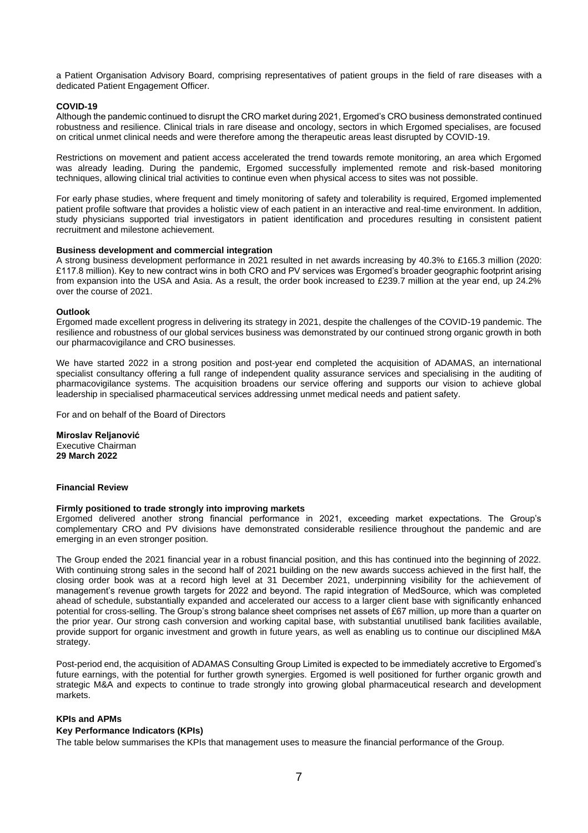a Patient Organisation Advisory Board, comprising representatives of patient groups in the field of rare diseases with a dedicated Patient Engagement Officer.

#### **COVID-19**

Although the pandemic continued to disrupt the CRO market during 2021, Ergomed's CRO business demonstrated continued robustness and resilience. Clinical trials in rare disease and oncology, sectors in which Ergomed specialises, are focused on critical unmet clinical needs and were therefore among the therapeutic areas least disrupted by COVID-19.

Restrictions on movement and patient access accelerated the trend towards remote monitoring, an area which Ergomed was already leading. During the pandemic, Ergomed successfully implemented remote and risk-based monitoring techniques, allowing clinical trial activities to continue even when physical access to sites was not possible.

For early phase studies, where frequent and timely monitoring of safety and tolerability is required, Ergomed implemented patient profile software that provides a holistic view of each patient in an interactive and real-time environment. In addition, study physicians supported trial investigators in patient identification and procedures resulting in consistent patient recruitment and milestone achievement.

#### **Business development and commercial integration**

A strong business development performance in 2021 resulted in net awards increasing by 40.3% to £165.3 million (2020: £117.8 million). Key to new contract wins in both CRO and PV services was Ergomed's broader geographic footprint arising from expansion into the USA and Asia. As a result, the order book increased to £239.7 million at the year end, up 24.2% over the course of 2021.

#### **Outlook**

Ergomed made excellent progress in delivering its strategy in 2021, despite the challenges of the COVID-19 pandemic. The resilience and robustness of our global services business was demonstrated by our continued strong organic growth in both our pharmacovigilance and CRO businesses.

We have started 2022 in a strong position and post-year end completed the acquisition of ADAMAS, an international specialist consultancy offering a full range of independent quality assurance services and specialising in the auditing of pharmacovigilance systems. The acquisition broadens our service offering and supports our vision to achieve global leadership in specialised pharmaceutical services addressing unmet medical needs and patient safety.

For and on behalf of the Board of Directors

**Miroslav Reljanović** Executive Chairman **29 March 2022**

## **Financial Review**

## **Firmly positioned to trade strongly into improving markets**

Ergomed delivered another strong financial performance in 2021, exceeding market expectations. The Group's complementary CRO and PV divisions have demonstrated considerable resilience throughout the pandemic and are emerging in an even stronger position.

The Group ended the 2021 financial year in a robust financial position, and this has continued into the beginning of 2022. With continuing strong sales in the second half of 2021 building on the new awards success achieved in the first half, the closing order book was at a record high level at 31 December 2021, underpinning visibility for the achievement of management's revenue growth targets for 2022 and beyond. The rapid integration of MedSource, which was completed ahead of schedule, substantially expanded and accelerated our access to a larger client base with significantly enhanced potential for cross-selling. The Group's strong balance sheet comprises net assets of £67 million, up more than a quarter on the prior year. Our strong cash conversion and working capital base, with substantial unutilised bank facilities available, provide support for organic investment and growth in future years, as well as enabling us to continue our disciplined M&A strategy.

Post-period end, the acquisition of ADAMAS Consulting Group Limited is expected to be immediately accretive to Ergomed's future earnings, with the potential for further growth synergies. Ergomed is well positioned for further organic growth and strategic M&A and expects to continue to trade strongly into growing global pharmaceutical research and development markets.

## **KPIs and APMs**

## **Key Performance Indicators (KPIs)**

The table below summarises the KPIs that management uses to measure the financial performance of the Group.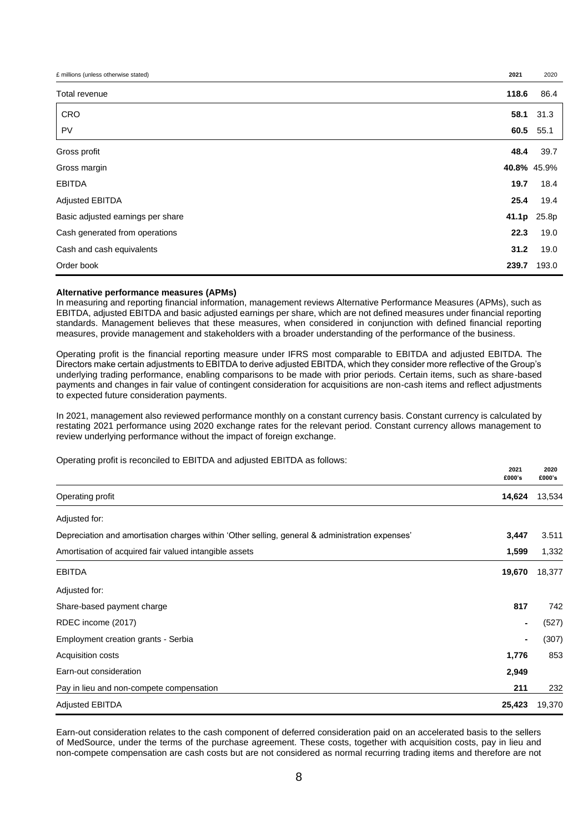| £ millions (unless otherwise stated) | 2021  | 2020        |
|--------------------------------------|-------|-------------|
| Total revenue                        | 118.6 | 86.4        |
| CRO                                  | 58.1  | 31.3        |
| PV                                   | 60.5  | 55.1        |
| Gross profit                         | 48.4  | 39.7        |
| Gross margin                         |       | 40.8% 45.9% |
| <b>EBITDA</b>                        | 19.7  | 18.4        |
| Adjusted EBITDA                      | 25.4  | 19.4        |
| Basic adjusted earnings per share    | 41.1p | 25.8p       |
| Cash generated from operations       | 22.3  | 19.0        |
| Cash and cash equivalents            | 31.2  | 19.0        |
| Order book                           | 239.7 | 193.0       |

#### **Alternative performance measures (APMs)**

In measuring and reporting financial information, management reviews Alternative Performance Measures (APMs), such as EBITDA, adjusted EBITDA and basic adjusted earnings per share, which are not defined measures under financial reporting standards. Management believes that these measures, when considered in conjunction with defined financial reporting measures, provide management and stakeholders with a broader understanding of the performance of the business.

Operating profit is the financial reporting measure under IFRS most comparable to EBITDA and adjusted EBITDA. The Directors make certain adjustments to EBITDA to derive adjusted EBITDA, which they consider more reflective of the Group's underlying trading performance, enabling comparisons to be made with prior periods. Certain items, such as share-based payments and changes in fair value of contingent consideration for acquisitions are non-cash items and reflect adjustments to expected future consideration payments.

In 2021, management also reviewed performance monthly on a constant currency basis. Constant currency is calculated by restating 2021 performance using 2020 exchange rates for the relevant period. Constant currency allows management to review underlying performance without the impact of foreign exchange.

Operating profit is reconciled to EBITDA and adjusted EBITDA as follows:

|                                                                                                 | 2021<br>£000's | 2020<br>£000's |
|-------------------------------------------------------------------------------------------------|----------------|----------------|
| Operating profit                                                                                | 14,624         | 13,534         |
| Adjusted for:                                                                                   |                |                |
| Depreciation and amortisation charges within 'Other selling, general & administration expenses' | 3,447          | 3.511          |
| Amortisation of acquired fair valued intangible assets                                          | 1,599          | 1,332          |
| <b>EBITDA</b>                                                                                   | 19,670         | 18,377         |
| Adjusted for:                                                                                   |                |                |
| Share-based payment charge                                                                      | 817            | 742            |
| RDEC income (2017)                                                                              |                | (527)          |
| Employment creation grants - Serbia                                                             | $\blacksquare$ | (307)          |
| Acquisition costs                                                                               | 1,776          | 853            |
| Earn-out consideration                                                                          | 2,949          |                |
| Pay in lieu and non-compete compensation                                                        | 211            | 232            |
| <b>Adjusted EBITDA</b>                                                                          | 25,423         | 19,370         |

Earn-out consideration relates to the cash component of deferred consideration paid on an accelerated basis to the sellers of MedSource, under the terms of the purchase agreement. These costs, together with acquisition costs, pay in lieu and non-compete compensation are cash costs but are not considered as normal recurring trading items and therefore are not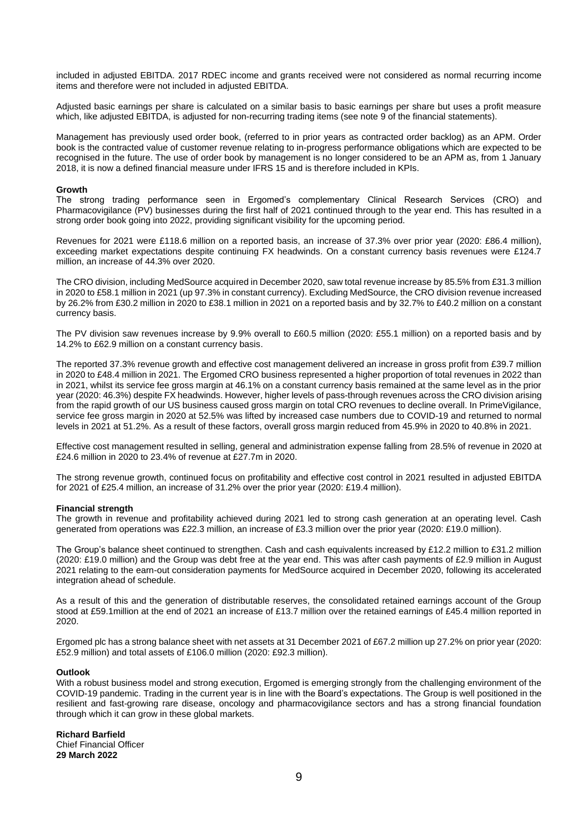included in adjusted EBITDA. 2017 RDEC income and grants received were not considered as normal recurring income items and therefore were not included in adjusted EBITDA.

Adjusted basic earnings per share is calculated on a similar basis to basic earnings per share but uses a profit measure which, like adjusted EBITDA, is adjusted for non-recurring trading items (see note 9 of the financial statements).

Management has previously used order book, (referred to in prior years as contracted order backlog) as an APM. Order book is the contracted value of customer revenue relating to in-progress performance obligations which are expected to be recognised in the future. The use of order book by management is no longer considered to be an APM as, from 1 January 2018, it is now a defined financial measure under IFRS 15 and is therefore included in KPIs.

## **Growth**

The strong trading performance seen in Ergomed's complementary Clinical Research Services (CRO) and Pharmacovigilance (PV) businesses during the first half of 2021 continued through to the year end. This has resulted in a strong order book going into 2022, providing significant visibility for the upcoming period.

Revenues for 2021 were £118.6 million on a reported basis, an increase of 37.3% over prior year (2020: £86.4 million), exceeding market expectations despite continuing FX headwinds. On a constant currency basis revenues were £124.7 million, an increase of 44.3% over 2020.

The CRO division, including MedSource acquired in December 2020, saw total revenue increase by 85.5% from £31.3 million in 2020 to £58.1 million in 2021 (up 97.3% in constant currency). Excluding MedSource, the CRO division revenue increased by 26.2% from £30.2 million in 2020 to £38.1 million in 2021 on a reported basis and by 32.7% to £40.2 million on a constant currency basis.

The PV division saw revenues increase by 9.9% overall to £60.5 million (2020: £55.1 million) on a reported basis and by 14.2% to £62.9 million on a constant currency basis.

The reported 37.3% revenue growth and effective cost management delivered an increase in gross profit from £39.7 million in 2020 to £48.4 million in 2021. The Ergomed CRO business represented a higher proportion of total revenues in 2022 than in 2021, whilst its service fee gross margin at 46.1% on a constant currency basis remained at the same level as in the prior year (2020: 46.3%) despite FX headwinds. However, higher levels of pass-through revenues across the CRO division arising from the rapid growth of our US business caused gross margin on total CRO revenues to decline overall. In PrimeVigilance, service fee gross margin in 2020 at 52.5% was lifted by increased case numbers due to COVID-19 and returned to normal levels in 2021 at 51.2%. As a result of these factors, overall gross margin reduced from 45.9% in 2020 to 40.8% in 2021.

Effective cost management resulted in selling, general and administration expense falling from 28.5% of revenue in 2020 at £24.6 million in 2020 to 23.4% of revenue at £27.7m in 2020.

The strong revenue growth, continued focus on profitability and effective cost control in 2021 resulted in adjusted EBITDA for 2021 of £25.4 million, an increase of 31.2% over the prior year (2020: £19.4 million).

#### **Financial strength**

The growth in revenue and profitability achieved during 2021 led to strong cash generation at an operating level. Cash generated from operations was £22.3 million, an increase of £3.3 million over the prior year (2020: £19.0 million).

The Group's balance sheet continued to strengthen. Cash and cash equivalents increased by £12.2 million to £31.2 million (2020: £19.0 million) and the Group was debt free at the year end. This was after cash payments of £2.9 million in August 2021 relating to the earn-out consideration payments for MedSource acquired in December 2020, following its accelerated integration ahead of schedule.

As a result of this and the generation of distributable reserves, the consolidated retained earnings account of the Group stood at £59.1million at the end of 2021 an increase of £13.7 million over the retained earnings of £45.4 million reported in 2020.

Ergomed plc has a strong balance sheet with net assets at 31 December 2021 of £67.2 million up 27.2% on prior year (2020: £52.9 million) and total assets of £106.0 million (2020: £92.3 million).

## **Outlook**

With a robust business model and strong execution, Ergomed is emerging strongly from the challenging environment of the COVID-19 pandemic. Trading in the current year is in line with the Board's expectations. The Group is well positioned in the resilient and fast-growing rare disease, oncology and pharmacovigilance sectors and has a strong financial foundation through which it can grow in these global markets.

**Richard Barfield** Chief Financial Officer **29 March 2022**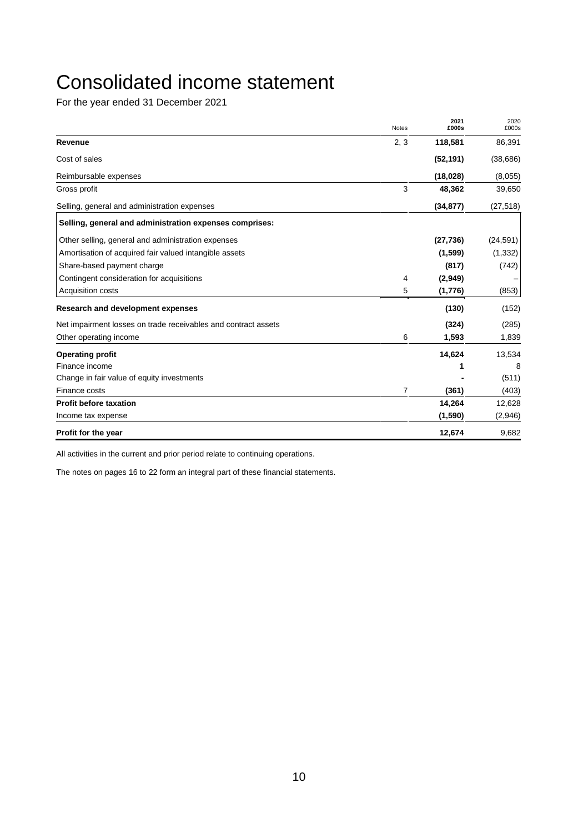# Consolidated income statement

For the year ended 31 December 2021

|                                                                | <b>Notes</b> | 2021<br>£000s | 2020<br>£000s |
|----------------------------------------------------------------|--------------|---------------|---------------|
| Revenue                                                        | 2, 3         | 118,581       | 86,391        |
| Cost of sales                                                  |              | (52, 191)     | (38, 686)     |
| Reimbursable expenses                                          |              | (18,028)      | (8,055)       |
| Gross profit                                                   | 3            | 48,362        | 39,650        |
| Selling, general and administration expenses                   |              | (34, 877)     | (27, 518)     |
| Selling, general and administration expenses comprises:        |              |               |               |
| Other selling, general and administration expenses             |              | (27, 736)     | (24, 591)     |
| Amortisation of acquired fair valued intangible assets         |              | (1,599)       | (1, 332)      |
| Share-based payment charge                                     |              | (817)         | (742)         |
| Contingent consideration for acquisitions                      | 4            | (2,949)       |               |
| <b>Acquisition costs</b>                                       | 5            | (1,776)       | (853)         |
| <b>Research and development expenses</b>                       |              | (130)         | (152)         |
| Net impairment losses on trade receivables and contract assets |              | (324)         | (285)         |
| Other operating income                                         | 6            | 1,593         | 1,839         |
| <b>Operating profit</b>                                        |              | 14,624        | 13,534        |
| Finance income                                                 |              |               | 8             |
| Change in fair value of equity investments                     |              |               | (511)         |
| Finance costs                                                  | 7            | (361)         | (403)         |
| <b>Profit before taxation</b>                                  |              | 14,264        | 12,628        |
| Income tax expense                                             |              | (1,590)       | (2,946)       |
| Profit for the year                                            |              | 12,674        | 9,682         |

All activities in the current and prior period relate to continuing operations.

The notes on pages 16 to 22 form an integral part of these financial statements.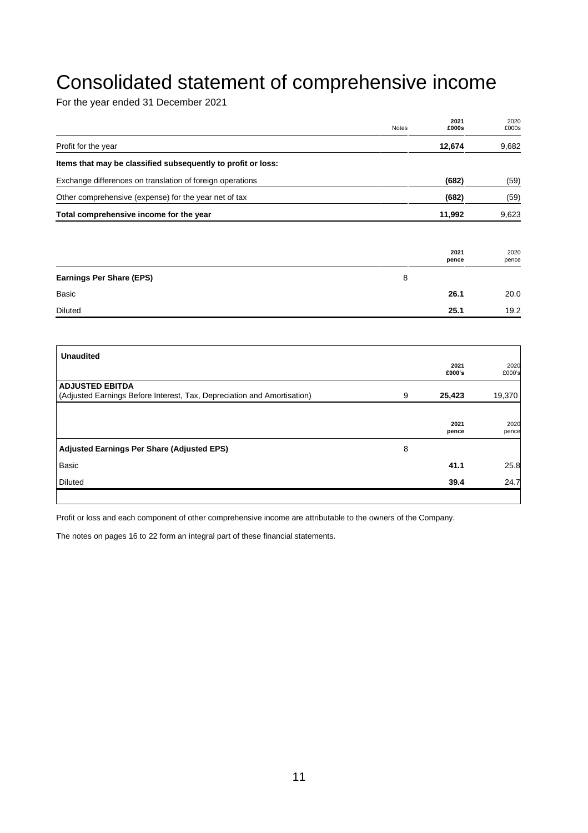# Consolidated statement of comprehensive income

For the year ended 31 December 2021

|                                                              | <b>Notes</b> | 2021<br>£000s | 2020<br>£000s |
|--------------------------------------------------------------|--------------|---------------|---------------|
| Profit for the year                                          |              | 12,674        | 9,682         |
| Items that may be classified subsequently to profit or loss: |              |               |               |
| Exchange differences on translation of foreign operations    |              | (682)         | (59)          |
| Other comprehensive (expense) for the year net of tax        |              | (682)         | (59)          |
| Total comprehensive income for the year                      |              | 11,992        | 9,623         |
|                                                              |              |               |               |
|                                                              |              | 2021<br>pence | 2020<br>pence |
| <b>Earnings Per Share (EPS)</b>                              | 8            |               |               |
| Basic                                                        |              | 26.1          | 20.0          |
| Diluted                                                      |              | 25.1          | 19.2          |

| <b>Unaudited</b>                                                        |   |                |                |
|-------------------------------------------------------------------------|---|----------------|----------------|
|                                                                         |   | 2021<br>£000's | 2020<br>£000's |
| <b>ADJUSTED EBITDA</b>                                                  |   |                |                |
| (Adjusted Earnings Before Interest, Tax, Depreciation and Amortisation) | 9 | 25,423         | 19,370         |
|                                                                         |   |                |                |
|                                                                         |   | 2021           | 2020           |
|                                                                         |   | pence          | pence          |
| <b>Adjusted Earnings Per Share (Adjusted EPS)</b>                       | 8 |                |                |
| <b>Basic</b>                                                            |   | 41.1           | 25.8           |
| <b>Diluted</b>                                                          |   | 39.4           | 24.7           |
|                                                                         |   |                |                |

Profit or loss and each component of other comprehensive income are attributable to the owners of the Company.

The notes on pages 16 to 22 form an integral part of these financial statements.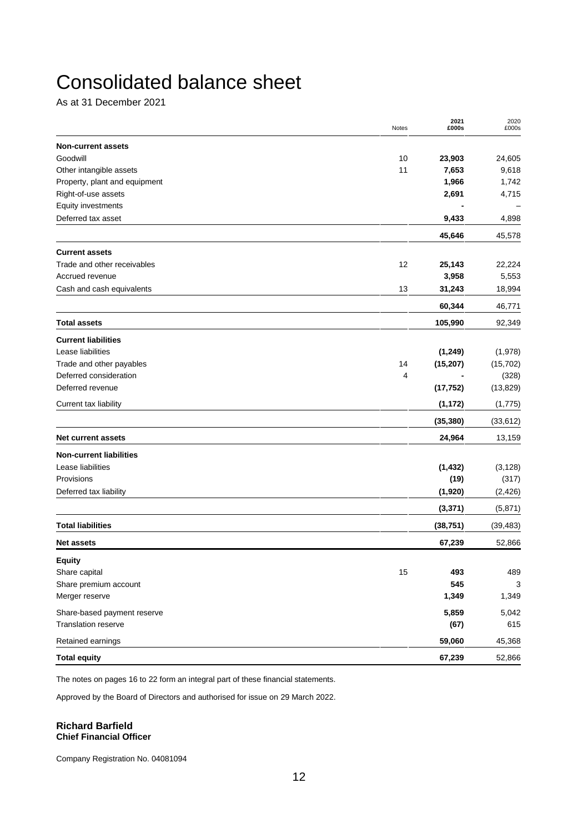# Consolidated balance sheet

As at 31 December 2021

|                                | Notes | 2021<br>£000s | 2020<br>£000s |
|--------------------------------|-------|---------------|---------------|
| <b>Non-current assets</b>      |       |               |               |
| Goodwill                       | 10    | 23,903        | 24,605        |
| Other intangible assets        | 11    | 7,653         | 9,618         |
| Property, plant and equipment  |       | 1,966         | 1,742         |
| Right-of-use assets            |       | 2,691         | 4,715         |
| Equity investments             |       |               |               |
| Deferred tax asset             |       | 9,433         | 4,898         |
|                                |       | 45,646        | 45,578        |
| <b>Current assets</b>          |       |               |               |
| Trade and other receivables    | 12    | 25,143        | 22,224        |
| Accrued revenue                |       | 3,958         | 5,553         |
| Cash and cash equivalents      | 13    | 31,243        | 18,994        |
|                                |       | 60,344        | 46,771        |
| <b>Total assets</b>            |       | 105,990       | 92,349        |
| <b>Current liabilities</b>     |       |               |               |
| Lease liabilities              |       | (1, 249)      | (1,978)       |
| Trade and other payables       | 14    | (15, 207)     | (15, 702)     |
| Deferred consideration         | 4     |               | (328)         |
| Deferred revenue               |       | (17, 752)     | (13, 829)     |
| Current tax liability          |       | (1, 172)      | (1,775)       |
|                                |       | (35, 380)     | (33, 612)     |
| <b>Net current assets</b>      |       | 24,964        | 13,159        |
| <b>Non-current liabilities</b> |       |               |               |
| Lease liabilities              |       | (1, 432)      | (3, 128)      |
| Provisions                     |       | (19)          | (317)         |
| Deferred tax liability         |       | (1,920)       | (2, 426)      |
|                                |       | (3, 371)      | (5,871)       |
| <b>Total liabilities</b>       |       | (38, 751)     | (39, 483)     |
| <b>Net assets</b>              |       | 67,239        | 52,866        |
| <b>Equity</b>                  |       |               |               |
| Share capital                  | 15    | 493           | 489           |
| Share premium account          |       | 545           | 3             |
| Merger reserve                 |       | 1,349         | 1,349         |
| Share-based payment reserve    |       | 5,859         | 5,042         |
| <b>Translation reserve</b>     |       | (67)          | 615           |
| Retained earnings              |       | 59,060        | 45,368        |
| <b>Total equity</b>            |       | 67,239        | 52,866        |

The notes on pages 16 to 22 form an integral part of these financial statements.

Approved by the Board of Directors and authorised for issue on 29 March 2022.

## **Richard Barfield Chief Financial Officer**

Company Registration No. 04081094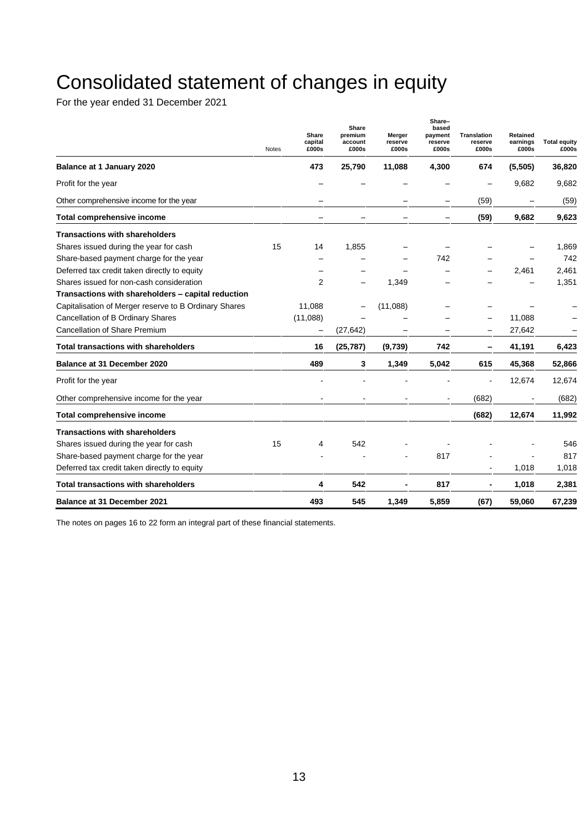# Consolidated statement of changes in equity

For the year ended 31 December 2021

|                                                       | <b>Notes</b> | Share<br>capital<br>£000s | Share<br>premium<br>account<br>£000s | Merger<br>reserve<br>£000s | Share-<br>based<br>payment<br>reserve<br>£000s | <b>Translation</b><br>reserve<br>£000s | Retained<br>earnings<br>£000s | <b>Total equity</b><br>£000s |
|-------------------------------------------------------|--------------|---------------------------|--------------------------------------|----------------------------|------------------------------------------------|----------------------------------------|-------------------------------|------------------------------|
| Balance at 1 January 2020                             |              | 473                       | 25,790                               | 11,088                     | 4,300                                          | 674                                    | (5,505)                       | 36,820                       |
| Profit for the year                                   |              |                           |                                      |                            |                                                |                                        | 9,682                         | 9,682                        |
| Other comprehensive income for the year               |              |                           |                                      |                            | -                                              | (59)                                   | -                             | (59)                         |
| Total comprehensive income                            |              |                           |                                      |                            |                                                | (59)                                   | 9,682                         | 9,623                        |
| <b>Transactions with shareholders</b>                 |              |                           |                                      |                            |                                                |                                        |                               |                              |
| Shares issued during the year for cash                | 15           | 14                        | 1,855                                |                            |                                                |                                        |                               | 1,869                        |
| Share-based payment charge for the year               |              |                           |                                      |                            | 742                                            |                                        |                               | 742                          |
| Deferred tax credit taken directly to equity          |              |                           |                                      |                            |                                                |                                        | 2,461                         | 2,461                        |
| Shares issued for non-cash consideration              |              | 2                         |                                      | 1,349                      |                                                |                                        |                               | 1,351                        |
| Transactions with shareholders - capital reduction    |              |                           |                                      |                            |                                                |                                        |                               |                              |
| Capitalisation of Merger reserve to B Ordinary Shares |              | 11,088                    |                                      | (11,088)                   |                                                |                                        |                               |                              |
| Cancellation of B Ordinary Shares                     |              | (11,088)                  |                                      |                            |                                                | $\overline{\phantom{0}}$               | 11,088                        |                              |
| Cancellation of Share Premium                         |              |                           | (27, 642)                            |                            |                                                |                                        | 27,642                        |                              |
| <b>Total transactions with shareholders</b>           |              | 16                        | (25, 787)                            | (9,739)                    | 742                                            | -                                      | 41,191                        | 6,423                        |
| Balance at 31 December 2020                           |              | 489                       | 3                                    | 1,349                      | 5,042                                          | 615                                    | 45,368                        | 52,866                       |
| Profit for the year                                   |              |                           |                                      |                            |                                                | L,                                     | 12,674                        | 12,674                       |
| Other comprehensive income for the year               |              |                           |                                      |                            | $\blacksquare$                                 | (682)                                  |                               | (682)                        |
| <b>Total comprehensive income</b>                     |              |                           |                                      |                            |                                                | (682)                                  | 12,674                        | 11,992                       |
| <b>Transactions with shareholders</b>                 |              |                           |                                      |                            |                                                |                                        |                               |                              |
| Shares issued during the year for cash                | 15           | 4                         | 542                                  |                            |                                                |                                        |                               | 546                          |
| Share-based payment charge for the year               |              |                           |                                      |                            | 817                                            |                                        |                               | 817                          |
| Deferred tax credit taken directly to equity          |              |                           |                                      |                            |                                                |                                        | 1,018                         | 1,018                        |
| <b>Total transactions with shareholders</b>           |              | 4                         | 542                                  | $\blacksquare$             | 817                                            | $\overline{\phantom{a}}$               | 1,018                         | 2,381                        |
| Balance at 31 December 2021                           |              | 493                       | 545                                  | 1,349                      | 5,859                                          | (67)                                   | 59,060                        | 67,239                       |

The notes on pages 16 to 22 form an integral part of these financial statements.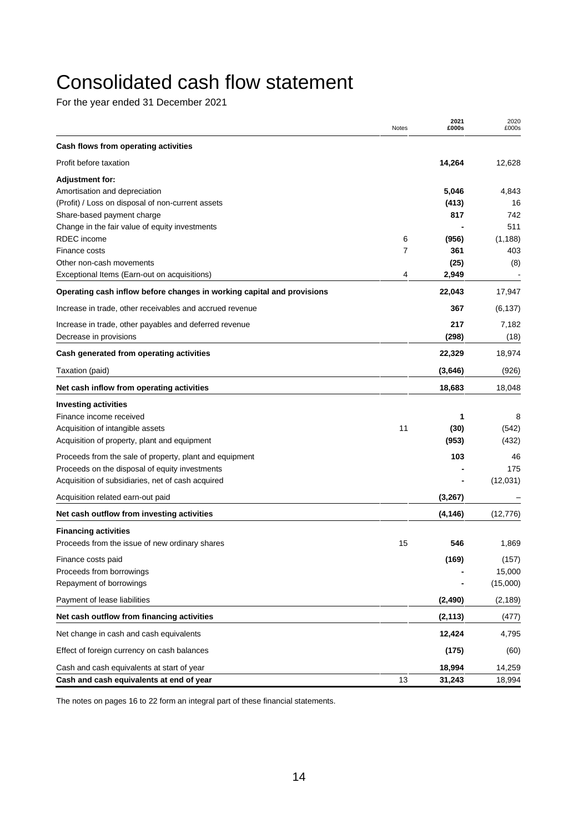# Consolidated cash flow statement

For the year ended 31 December 2021

|                                                                        | Notes | 2021<br>£000s | 2020<br>£000s |
|------------------------------------------------------------------------|-------|---------------|---------------|
| Cash flows from operating activities                                   |       |               |               |
| Profit before taxation                                                 |       | 14,264        | 12,628        |
| <b>Adjustment for:</b>                                                 |       |               |               |
| Amortisation and depreciation                                          |       | 5,046         | 4,843         |
| (Profit) / Loss on disposal of non-current assets                      |       | (413)         | 16            |
| Share-based payment charge                                             |       | 817           | 742           |
| Change in the fair value of equity investments                         |       |               | 511           |
| RDEC income                                                            | 6     | (956)         | (1, 188)      |
| Finance costs                                                          | 7     | 361           | 403           |
| Other non-cash movements                                               |       | (25)          | (8)           |
| Exceptional Items (Earn-out on acquisitions)                           | 4     | 2,949         |               |
| Operating cash inflow before changes in working capital and provisions |       | 22,043        | 17,947        |
| Increase in trade, other receivables and accrued revenue               |       | 367           | (6, 137)      |
| Increase in trade, other payables and deferred revenue                 |       | 217           | 7,182         |
| Decrease in provisions                                                 |       | (298)         | (18)          |
| Cash generated from operating activities                               |       | 22,329        | 18,974        |
| Taxation (paid)                                                        |       | (3,646)       | (926)         |
| Net cash inflow from operating activities                              |       | 18,683        | 18,048        |
| <b>Investing activities</b>                                            |       |               |               |
| Finance income received                                                |       | 1             | 8             |
| Acquisition of intangible assets                                       | 11    | (30)          | (542)         |
| Acquisition of property, plant and equipment                           |       | (953)         | (432)         |
| Proceeds from the sale of property, plant and equipment                |       | 103           | 46            |
| Proceeds on the disposal of equity investments                         |       |               | 175           |
| Acquisition of subsidiaries, net of cash acquired                      |       |               | (12,031)      |
| Acquisition related earn-out paid                                      |       | (3,267)       |               |
| Net cash outflow from investing activities                             |       | (4, 146)      | (12, 776)     |
| <b>Financing activities</b>                                            |       |               |               |
| Proceeds from the issue of new ordinary shares                         | 15    | 546           | 1,869         |
| Finance costs paid                                                     |       | (169)         | (157)         |
| Proceeds from borrowings                                               |       |               | 15,000        |
| Repayment of borrowings                                                |       |               | (15,000)      |
| Payment of lease liabilities                                           |       | (2, 490)      | (2, 189)      |
| Net cash outflow from financing activities                             |       | (2, 113)      | (477)         |
| Net change in cash and cash equivalents                                |       | 12,424        | 4,795         |
| Effect of foreign currency on cash balances                            |       | (175)         | (60)          |
| Cash and cash equivalents at start of year                             |       | 18,994        | 14,259        |
| Cash and cash equivalents at end of year                               | 13    | 31,243        | 18,994        |

The notes on pages 16 to 22 form an integral part of these financial statements.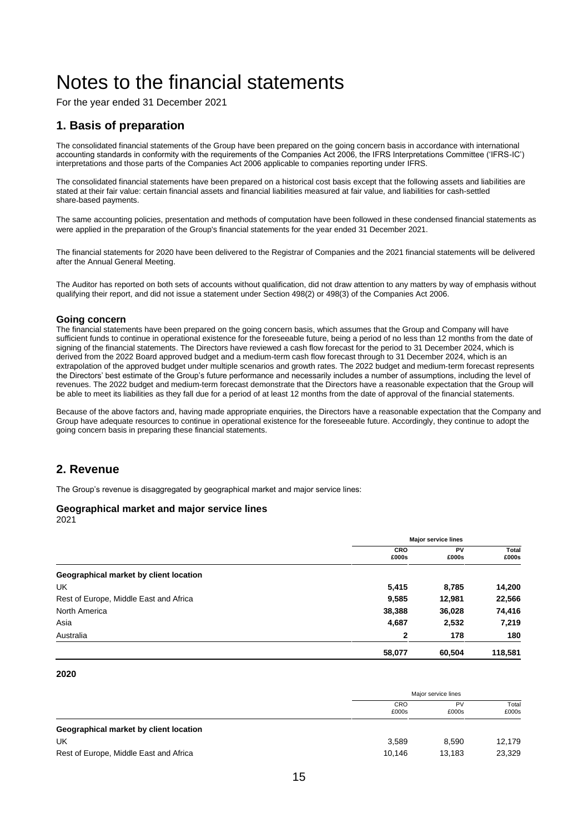# Notes to the financial statements

For the year ended 31 December 2021

# **1. Basis of preparation**

The consolidated financial statements of the Group have been prepared on the going concern basis in accordance with international accounting standards in conformity with the requirements of the Companies Act 2006, the IFRS Interpretations Committee ('IFRS-IC') interpretations and those parts of the Companies Act 2006 applicable to companies reporting under IFRS.

The consolidated financial statements have been prepared on a historical cost basis except that the following assets and liabilities are stated at their fair value: certain financial assets and financial liabilities measured at fair value, and liabilities for cash-settled share-based payments.

The same accounting policies, presentation and methods of computation have been followed in these condensed financial statements as were applied in the preparation of the Group's financial statements for the year ended 31 December 2021.

The financial statements for 2020 have been delivered to the Registrar of Companies and the 2021 financial statements will be delivered after the Annual General Meeting.

The Auditor has reported on both sets of accounts without qualification, did not draw attention to any matters by way of emphasis without qualifying their report, and did not issue a statement under Section 498(2) or 498(3) of the Companies Act 2006.

## **Going concern**

The financial statements have been prepared on the going concern basis, which assumes that the Group and Company will have sufficient funds to continue in operational existence for the foreseeable future, being a period of no less than 12 months from the date of signing of the financial statements. The Directors have reviewed a cash flow forecast for the period to 31 December 2024, which is derived from the 2022 Board approved budget and a medium-term cash flow forecast through to 31 December 2024, which is an extrapolation of the approved budget under multiple scenarios and growth rates. The 2022 budget and medium-term forecast represents the Directors' best estimate of the Group's future performance and necessarily includes a number of assumptions, including the level of revenues. The 2022 budget and medium-term forecast demonstrate that the Directors have a reasonable expectation that the Group will be able to meet its liabilities as they fall due for a period of at least 12 months from the date of approval of the financial statements.

Because of the above factors and, having made appropriate enquiries, the Directors have a reasonable expectation that the Company and Group have adequate resources to continue in operational existence for the foreseeable future. Accordingly, they continue to adopt the going concern basis in preparing these financial statements.

# **2. Revenue**

The Group's revenue is disaggregated by geographical market and major service lines:

## **Geographical market and major service lines**

2021

|                                        | <b>Major service lines</b> |             |                |
|----------------------------------------|----------------------------|-------------|----------------|
|                                        | CRO<br>£000s               | PV<br>£000s | Total<br>£000s |
| Geographical market by client location |                            |             |                |
| UK                                     | 5,415                      | 8,785       | 14,200         |
| Rest of Europe, Middle East and Africa | 9,585                      | 12,981      | 22,566         |
| North America                          | 38,388                     | 36,028      | 74,416         |
| Asia                                   | 4,687                      | 2,532       | 7,219          |
| Australia                              | $\mathbf 2$                | 178         | 180            |
|                                        | 58,077                     | 60.504      | 118,581        |

## **2020**

|                                        | Major service lines |             |                |  |
|----------------------------------------|---------------------|-------------|----------------|--|
|                                        | <b>CRO</b><br>£000s | PV<br>£000s | Total<br>£000s |  |
| Geographical market by client location |                     |             |                |  |
| UK                                     | 3.589               | 8.590       | 12.179         |  |
| Rest of Europe, Middle East and Africa | 10.146              | 13.183      | 23,329         |  |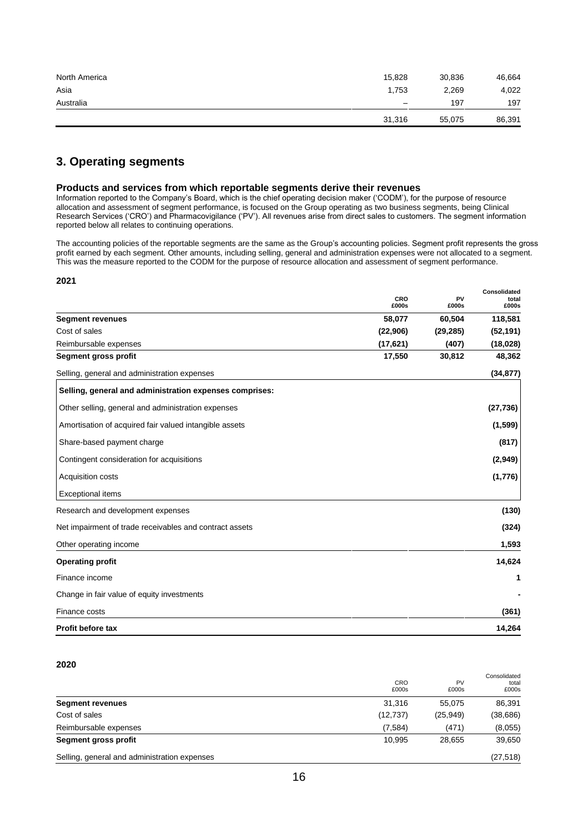| North America | 15,828                   | 30,836 | 46,664 |
|---------------|--------------------------|--------|--------|
| Asia          | 1.753                    | 2,269  | 4,022  |
| Australia     | $\overline{\phantom{0}}$ | 197    | 197    |
|               | 31,316                   | 55,075 | 86,391 |

# **3. Operating segments**

#### **Products and services from which reportable segments derive their revenues**

Information reported to the Company's Board, which is the chief operating decision maker ('CODM'), for the purpose of resource allocation and assessment of segment performance, is focused on the Group operating as two business segments, being Clinical Research Services ('CRO') and Pharmacovigilance ('PV'). All revenues arise from direct sales to customers. The segment information reported below all relates to continuing operations.

The accounting policies of the reportable segments are the same as the Group's accounting policies. Segment profit represents the gross profit earned by each segment. Other amounts, including selling, general and administration expenses were not allocated to a segment. This was the measure reported to the CODM for the purpose of resource allocation and assessment of segment performance.

**Consolidated**

#### **2021**

|                                                         | CRO<br>£000s | PV<br>£000s | vvnavnuatuu<br>total<br>£000s |
|---------------------------------------------------------|--------------|-------------|-------------------------------|
| <b>Segment revenues</b>                                 | 58,077       | 60,504      | 118,581                       |
| Cost of sales                                           | (22,906)     | (29, 285)   | (52, 191)                     |
| Reimbursable expenses                                   | (17,621)     | (407)       | (18,028)                      |
| Segment gross profit                                    | 17,550       | 30,812      | 48,362                        |
| Selling, general and administration expenses            |              |             | (34, 877)                     |
| Selling, general and administration expenses comprises: |              |             |                               |
| Other selling, general and administration expenses      |              |             | (27, 736)                     |
| Amortisation of acquired fair valued intangible assets  |              |             | (1, 599)                      |
| Share-based payment charge                              |              |             | (817)                         |
| Contingent consideration for acquisitions               |              |             | (2,949)                       |
| Acquisition costs                                       |              |             | (1,776)                       |
| <b>Exceptional items</b>                                |              |             |                               |
| Research and development expenses                       |              |             | (130)                         |
| Net impairment of trade receivables and contract assets |              |             | (324)                         |
| Other operating income                                  |              |             | 1,593                         |
| <b>Operating profit</b>                                 |              |             | 14,624                        |
| Finance income                                          |              |             | 1                             |
| Change in fair value of equity investments              |              |             |                               |
| Finance costs                                           |              |             | (361)                         |
| <b>Profit before tax</b>                                |              |             | 14,264                        |

# **2020**

| Selling, general and administration expenses |              |             | (27, 518)                      |
|----------------------------------------------|--------------|-------------|--------------------------------|
| Segment gross profit                         | 10.995       | 28.655      | 39,650                         |
| Reimbursable expenses                        | (7,584)      | (471)       | (8,055)                        |
| Cost of sales                                | (12, 737)    | (25, 949)   | (38, 686)                      |
| <b>Segment revenues</b>                      | 31.316       | 55.075      | 86,391                         |
|                                              | CRO<br>£000s | PV<br>£000s | Consolidated<br>total<br>£000s |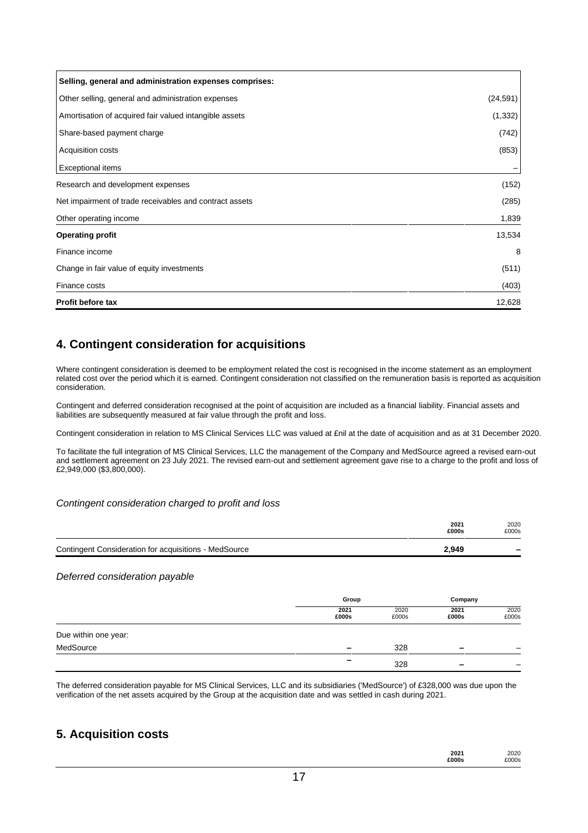| <b>Exceptional items</b>                                |        |
|---------------------------------------------------------|--------|
| Research and development expenses                       | (152)  |
| Net impairment of trade receivables and contract assets | (285)  |
| Other operating income                                  | 1,839  |
| <b>Operating profit</b>                                 | 13,534 |
| Finance income                                          | 8      |
| Change in fair value of equity investments              | (511)  |
|                                                         |        |
| Finance costs                                           | (403)  |
| <b>Profit before tax</b>                                | 12,628 |

# **4. Contingent consideration for acquisitions**

Where contingent consideration is deemed to be employment related the cost is recognised in the income statement as an employment related cost over the period which it is earned. Contingent consideration not classified on the remuneration basis is reported as acquisition consideration.

Contingent and deferred consideration recognised at the point of acquisition are included as a financial liability. Financial assets and liabilities are subsequently measured at fair value through the profit and loss.

Contingent consideration in relation to MS Clinical Services LLC was valued at £nil at the date of acquisition and as at 31 December 2020.

To facilitate the full integration of MS Clinical Services, LLC the management of the Company and MedSource agreed a revised earn-out and settlement agreement on 23 July 2021. The revised earn-out and settlement agreement gave rise to a charge to the profit and loss of £2,949,000 (\$3,800,000).

# *Contingent consideration charged to profit and loss*

|                                                       |               |               | 2021<br>£000s | 2020<br>£000s |
|-------------------------------------------------------|---------------|---------------|---------------|---------------|
| Contingent Consideration for acquisitions - MedSource |               |               | 2,949         |               |
| Deferred consideration payable                        |               |               |               |               |
|                                                       | Group         |               | Company       |               |
|                                                       | 2021<br>£000s | 2020<br>£000s | 2021<br>£000s | 2020<br>£000s |
| Due within one year:                                  |               |               |               |               |
| MedSource                                             |               | 328           |               |               |

The deferred consideration payable for MS Clinical Services, LLC and its subsidiaries ('MedSource') of £328,000 was due upon the verification of the net assets acquired by the Group at the acquisition date and was settled in cash during 2021.

**–**

# **5. Acquisition costs**

| 2021  | 2020  |
|-------|-------|
| £000s | £000s |

328 **–** –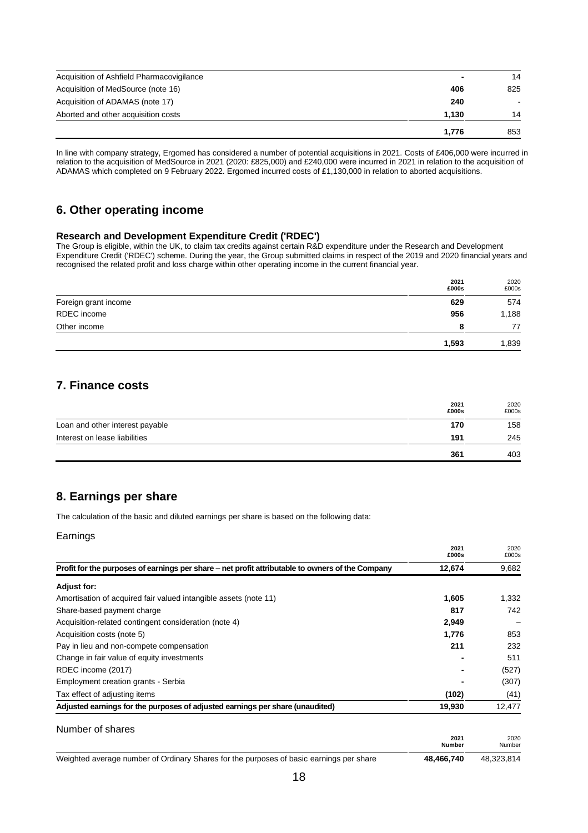| Acquisition of Ashfield Pharmacovigilance | -     | 14  |
|-------------------------------------------|-------|-----|
| Acquisition of MedSource (note 16)        | 406   | 825 |
| Acquisition of ADAMAS (note 17)           | 240   |     |
| Aborted and other acquisition costs       | 1.130 | 14  |
|                                           | 1.776 | 853 |

In line with company strategy, Ergomed has considered a number of potential acquisitions in 2021. Costs of £406,000 were incurred in relation to the acquisition of MedSource in 2021 (2020: £825,000) and £240,000 were incurred in 2021 in relation to the acquisition of ADAMAS which completed on 9 February 2022. Ergomed incurred costs of £1,130,000 in relation to aborted acquisitions.

# **6. Other operating income**

## **Research and Development Expenditure Credit ('RDEC')**

The Group is eligible, within the UK, to claim tax credits against certain R&D expenditure under the Research and Development Expenditure Credit ('RDEC') scheme. During the year, the Group submitted claims in respect of the 2019 and 2020 financial years and recognised the related profit and loss charge within other operating income in the current financial year.

|                      | 2021<br>£000s | 2020<br>£000s |
|----------------------|---------------|---------------|
| Foreign grant income | 629           | 574           |
| RDEC income          | 956           | 1,188         |
| Other income         | 8             | 77            |
|                      | 1,593         | 1,839         |

# **7. Finance costs**

|                                 | 2021<br>£000s | 2020<br>£000s |
|---------------------------------|---------------|---------------|
| Loan and other interest payable | 170           | 158           |
| Interest on lease liabilities   | 191           | 245           |
|                                 | 361           | 403           |

# **8. Earnings per share**

The calculation of the basic and diluted earnings per share is based on the following data:

| ⊧arnınɑs |
|----------|
|          |

|                                                                                                  | 2021<br>£000s         | 2020<br>£000s  |
|--------------------------------------------------------------------------------------------------|-----------------------|----------------|
| Profit for the purposes of earnings per share – net profit attributable to owners of the Company | 12,674                | 9,682          |
| <b>Adjust for:</b>                                                                               |                       |                |
| Amortisation of acquired fair valued intangible assets (note 11)                                 | 1,605                 | 1,332          |
| Share-based payment charge                                                                       | 817                   | 742            |
| Acquisition-related contingent consideration (note 4)                                            | 2,949                 |                |
| Acquisition costs (note 5)                                                                       | 1,776                 | 853            |
| Pay in lieu and non-compete compensation                                                         | 211                   | 232            |
| Change in fair value of equity investments                                                       |                       | 511            |
| RDEC income (2017)                                                                               |                       | (527)          |
| Employment creation grants - Serbia                                                              |                       | (307)          |
| Tax effect of adjusting items                                                                    | (102)                 | (41)           |
| Adjusted earnings for the purposes of adjusted earnings per share (unaudited)                    | 19,930                | 12,477         |
| Number of shares                                                                                 |                       |                |
|                                                                                                  | 2021<br><b>Number</b> | 2020<br>Number |
| Weighted average number of Ordinary Shares for the purposes of basic earnings per share          | 48,466,740            | 48,323,814     |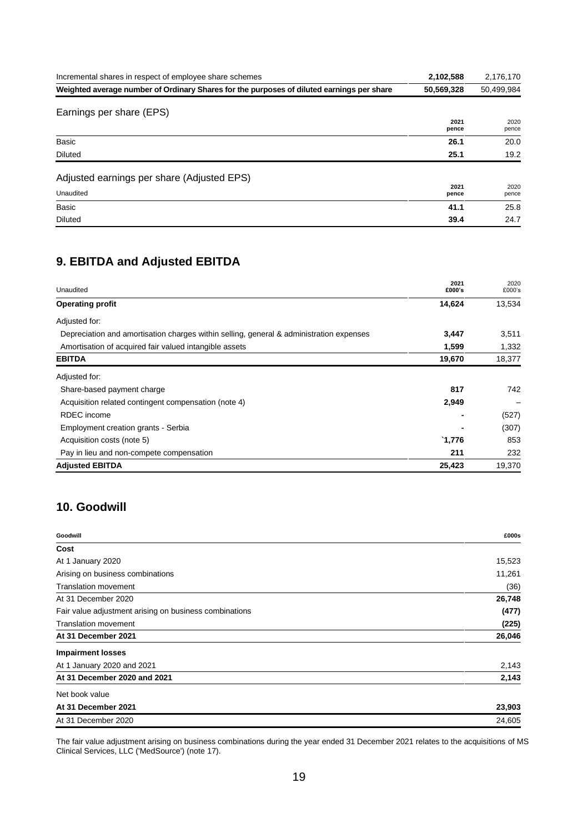| Incremental shares in respect of employee share schemes                                   | 2,102,588     | 2,176,170     |
|-------------------------------------------------------------------------------------------|---------------|---------------|
| Weighted average number of Ordinary Shares for the purposes of diluted earnings per share | 50,569,328    | 50,499,984    |
| Earnings per share (EPS)                                                                  | 2021<br>pence | 2020<br>pence |
| Basic                                                                                     | 26.1          | 20.0          |
| <b>Diluted</b>                                                                            | 25.1          | 19.2          |
| Adjusted earnings per share (Adjusted EPS)                                                |               |               |
| Unaudited                                                                                 | 2021<br>pence | 2020<br>pence |
| Basic                                                                                     | 41.1          | 25.8          |
| <b>Diluted</b>                                                                            | 39.4          | 24.7          |

# **9. EBITDA and Adjusted EBITDA**

| Unaudited                                                                               | 2021<br>£000's   | 2020<br>£000's |
|-----------------------------------------------------------------------------------------|------------------|----------------|
| <b>Operating profit</b>                                                                 | 14,624           | 13,534         |
| Adjusted for:                                                                           |                  |                |
| Depreciation and amortisation charges within selling, general & administration expenses | 3,447            | 3,511          |
| Amortisation of acquired fair valued intangible assets                                  | 1,599            | 1,332          |
| <b>EBITDA</b>                                                                           | 19,670           | 18,377         |
| Adjusted for:                                                                           |                  |                |
| Share-based payment charge                                                              | 817              | 742            |
| Acquisition related contingent compensation (note 4)                                    | 2,949            |                |
| <b>RDEC</b> income                                                                      |                  | (527)          |
| Employment creation grants - Serbia                                                     |                  | (307)          |
| Acquisition costs (note 5)                                                              | $^{\circ}$ 1,776 | 853            |
| Pay in lieu and non-compete compensation                                                | 211              | 232            |
| <b>Adjusted EBITDA</b>                                                                  | 25,423           | 19,370         |

# **10. Goodwill**

| Goodwill                                               | £000s  |
|--------------------------------------------------------|--------|
| Cost                                                   |        |
| At 1 January 2020                                      | 15,523 |
| Arising on business combinations                       | 11,261 |
| <b>Translation movement</b>                            | (36)   |
| At 31 December 2020                                    | 26,748 |
| Fair value adjustment arising on business combinations | (477)  |
| <b>Translation movement</b>                            | (225)  |
| At 31 December 2021                                    | 26,046 |
| <b>Impairment losses</b>                               |        |
| At 1 January 2020 and 2021                             | 2,143  |
| At 31 December 2020 and 2021                           | 2,143  |
| Net book value                                         |        |
| At 31 December 2021                                    | 23,903 |
| At 31 December 2020                                    | 24,605 |

The fair value adjustment arising on business combinations during the year ended 31 December 2021 relates to the acquisitions of MS Clinical Services, LLC ('MedSource') (note 17).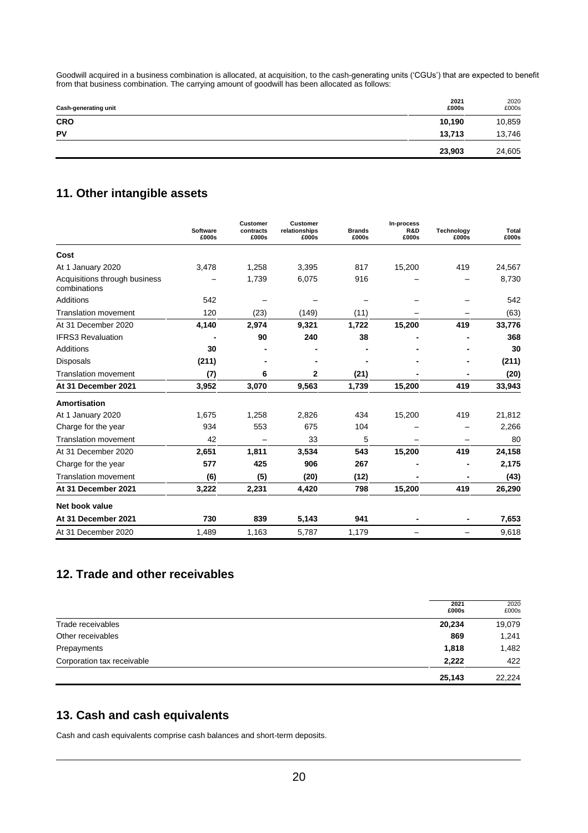Goodwill acquired in a business combination is allocated, at acquisition, to the cash-generating units ('CGUs') that are expected to benefit from that business combination. The carrying amount of goodwill has been allocated as follows:

| Cash-generating unit | 2021<br>£000s | 2020<br>£000s |
|----------------------|---------------|---------------|
| <b>CRO</b>           | 10,190        | 10,859        |
| PV                   | 13,713        | 13,746        |
|                      | 23,903        | 24,605        |

# **11. Other intangible assets**

|                                               | Software<br>£000s | Customer<br>contracts<br>£000s | Customer<br>relationships<br>£000s | <b>Brands</b><br>£000s | In-process<br>R&D<br>£000s | <b>Technology</b><br>£000s | Total<br>£000s |
|-----------------------------------------------|-------------------|--------------------------------|------------------------------------|------------------------|----------------------------|----------------------------|----------------|
| Cost                                          |                   |                                |                                    |                        |                            |                            |                |
| At 1 January 2020                             | 3,478             | 1,258                          | 3,395                              | 817                    | 15,200                     | 419                        | 24,567         |
| Acquisitions through business<br>combinations |                   | 1,739                          | 6,075                              | 916                    |                            |                            | 8,730          |
| Additions                                     | 542               |                                |                                    |                        |                            |                            | 542            |
| <b>Translation movement</b>                   | 120               | (23)                           | (149)                              | (11)                   |                            |                            | (63)           |
| At 31 December 2020                           | 4,140             | 2,974                          | 9,321                              | 1,722                  | 15,200                     | 419                        | 33,776         |
| <b>IFRS3 Revaluation</b>                      |                   | 90                             | 240                                | 38                     |                            |                            | 368            |
| Additions                                     | 30                |                                |                                    |                        |                            |                            | 30             |
| <b>Disposals</b>                              | (211)             |                                |                                    |                        |                            |                            | (211)          |
| <b>Translation movement</b>                   | (7)               | 6                              | 2                                  | (21)                   |                            |                            | (20)           |
| At 31 December 2021                           | 3,952             | 3,070                          | 9,563                              | 1,739                  | 15,200                     | 419                        | 33,943         |
| Amortisation                                  |                   |                                |                                    |                        |                            |                            |                |
| At 1 January 2020                             | 1,675             | 1,258                          | 2,826                              | 434                    | 15,200                     | 419                        | 21,812         |
| Charge for the year                           | 934               | 553                            | 675                                | 104                    |                            |                            | 2,266          |
| <b>Translation movement</b>                   | 42                |                                | 33                                 | 5                      |                            |                            | 80             |
| At 31 December 2020                           | 2,651             | 1,811                          | 3,534                              | 543                    | 15,200                     | 419                        | 24,158         |
| Charge for the year                           | 577               | 425                            | 906                                | 267                    |                            |                            | 2,175          |
| <b>Translation movement</b>                   | (6)               | (5)                            | (20)                               | (12)                   |                            |                            | (43)           |
| At 31 December 2021                           | 3,222             | 2,231                          | 4,420                              | 798                    | 15,200                     | 419                        | 26,290         |
| Net book value                                |                   |                                |                                    |                        |                            |                            |                |
| At 31 December 2021                           | 730               | 839                            | 5,143                              | 941                    |                            |                            | 7,653          |
| At 31 December 2020                           | 1,489             | 1,163                          | 5,787                              | 1,179                  |                            |                            | 9,618          |

# **12. Trade and other receivables**

|                            | 2021<br>£000s | 2020<br>£000s |
|----------------------------|---------------|---------------|
| Trade receivables          | 20,234        | 19,079        |
| Other receivables          | 869           | 1,241         |
| Prepayments                | 1,818         | 1,482         |
| Corporation tax receivable | 2,222         | 422           |
|                            | 25,143        | 22.224        |

# **13. Cash and cash equivalents**

Cash and cash equivalents comprise cash balances and short-term deposits.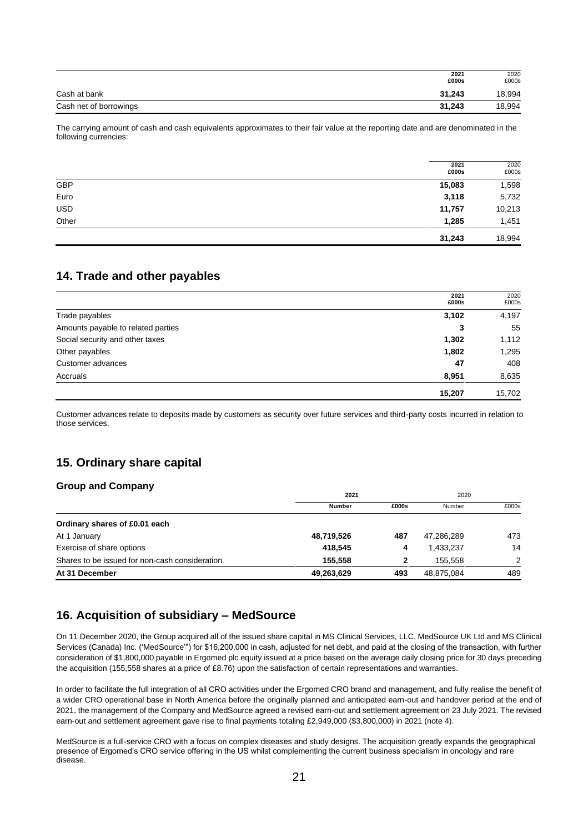|                        | 2021<br>£000s | 2020<br>£000s |
|------------------------|---------------|---------------|
| Cash at bank           | 31.243        | 18,994        |
| Cash net of borrowings | 31.243        | 18,994        |

The carrying amount of cash and cash equivalents approximates to their fair value at the reporting date and are denominated in the following currencies:

|            | 2021<br>£000s | 2020<br>£000s |
|------------|---------------|---------------|
| GBP        | 15,083        | 1,598         |
| Euro       | 3,118         | 5,732         |
| <b>USD</b> | 11,757        | 10,213        |
| Other      | 1,285         | 1,451         |
|            | 31,243        | 18,994        |

# **14. Trade and other payables**

|                                    | 2021<br>£000s | 2020<br>£000s |
|------------------------------------|---------------|---------------|
| Trade payables                     | 3,102         | 4,197         |
| Amounts payable to related parties | 3             | 55            |
| Social security and other taxes    | 1,302         | 1,112         |
| Other payables                     | 1,802         | 1,295         |
| Customer advances                  | 47            | 408           |
| Accruals                           | 8,951         | 8,635         |
|                                    | 15,207        | 15.702        |

Customer advances relate to deposits made by customers as security over future services and third-party costs incurred in relation to those services.

# **15. Ordinary share capital**

# **Group and Company**

|                                                | 2021          |       | 2020       |               |
|------------------------------------------------|---------------|-------|------------|---------------|
|                                                | <b>Number</b> | £000s | Number     | £000s         |
| Ordinary shares of £0.01 each                  |               |       |            |               |
| At 1 January                                   | 48,719,526    | 487   | 47,286,289 | 473           |
| Exercise of share options                      | 418.545       | 4     | 1,433,237  | 14            |
| Shares to be issued for non-cash consideration | 155.558       | 2     | 155.558    | $\mathcal{P}$ |
| At 31 December                                 | 49,263,629    | 493   | 48,875,084 | 489           |

# **16. Acquisition of subsidiary – MedSource**

On 11 December 2020, the Group acquired all of the issued share capital in MS Clinical Services, LLC, MedSource UK Ltd and MS Clinical Services (Canada) Inc. ('MedSource'") for \$16,200,000 in cash, adjusted for net debt, and paid at the closing of the transaction, with further consideration of \$1,800,000 payable in Ergomed plc equity issued at a price based on the average daily closing price for 30 days preceding the acquisition (155,558 shares at a price of £8.76) upon the satisfaction of certain representations and warranties.

In order to facilitate the full integration of all CRO activities under the Ergomed CRO brand and management, and fully realise the benefit of a wider CRO operational base in North America before the originally planned and anticipated earn-out and handover period at the end of 2021, the management of the Company and MedSource agreed a revised earn-out and settlement agreement on 23 July 2021. The revised earn-out and settlement agreement gave rise to final payments totaling £2,949,000 (\$3,800,000) in 2021 (note 4).

MedSource is a full-service CRO with a focus on complex diseases and study designs. The acquisition greatly expands the geographical presence of Ergomed's CRO service offering in the US whilst complementing the current business specialism in oncology and rare disease.